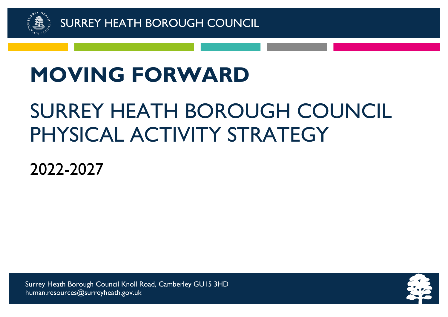

# **MOVING FORWARD**

# SURREY HEATH BOROUGH COUNCIL PHYSICAL ACTIVITY STRATEGY

2022-2027

Surrey Heath Borough Council Knoll Road, Camberley GU15 3HD human.resources@surreyheath.gov.uk

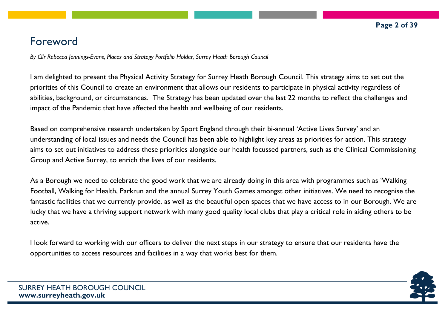# Foreword

*By Cllr Rebecca Jennings-Evans, Places and Strategy Portfolio Holder, Surrey Heath Borough Council*

I am delighted to present the Physical Activity Strategy for Surrey Heath Borough Council. This strategy aims to set out the priorities of this Council to create an environment that allows our residents to participate in physical activity regardless of abilities, background, or circumstances. The Strategy has been updated over the last 22 months to reflect the challenges and impact of the Pandemic that have affected the health and wellbeing of our residents.

Based on comprehensive research undertaken by Sport England through their bi-annual 'Active Lives Survey' and an understanding of local issues and needs the Council has been able to highlight key areas as priorities for action. This strategy aims to set out initiatives to address these priorities alongside our health focussed partners, such as the Clinical Commissioning Group and Active Surrey, to enrich the lives of our residents.

As a Borough we need to celebrate the good work that we are already doing in this area with programmes such as 'Walking Football, Walking for Health, Parkrun and the annual Surrey Youth Games amongst other initiatives. We need to recognise the fantastic facilities that we currently provide, as well as the beautiful open spaces that we have access to in our Borough. We are lucky that we have a thriving support network with many good quality local clubs that play a critical role in aiding others to be active.

I look forward to working with our officers to deliver the next steps in our strategy to ensure that our residents have the opportunities to access resources and facilities in a way that works best for them.

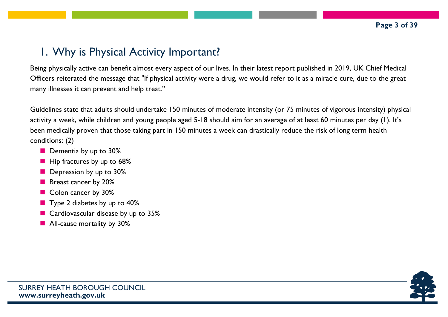# 1. Why is Physical Activity Important?

Being physically active can benefit almost every aspect of our lives. In their latest report published in 2019, UK Chief Medical Officers reiterated the message that "If physical activity were a drug, we would refer to it as a miracle cure, due to the great many illnesses it can prevent and help treat."

Guidelines state that adults should undertake 150 minutes of moderate intensity (or 75 minutes of vigorous intensity) physical activity a week, while children and young people aged 5-18 should aim for an average of at least 60 minutes per day (1). It's been medically proven that those taking part in 150 minutes a week can drastically reduce the risk of long term health conditions: (2)

- **Dementia by up to 30%**
- $\blacksquare$  Hip fractures by up to 68%
- **Depression by up to 30%**
- **Breast cancer by 20%**
- Colon cancer by 30%
- Type 2 diabetes by up to 40%
- Cardiovascular disease by up to 35%
- **All-cause mortality by 30%**

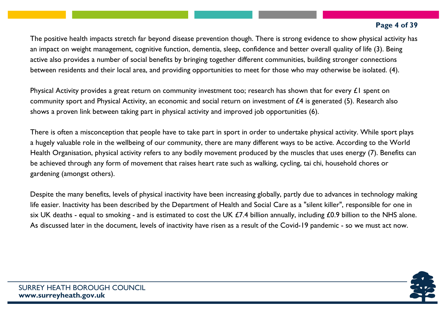#### **Page 4 of 39**

The positive health impacts stretch far beyond disease prevention though. There is strong evidence to show physical activity has an impact on weight management, cognitive function, dementia, sleep, confidence and better overall quality of life (3). Being active also provides a number of social benefits by bringing together different communities, building stronger connections between residents and their local area, and providing opportunities to meet for those who may otherwise be isolated. (4).

Physical Activity provides a great return on community investment too; research has shown that for every  $\pounds I$  spent on community sport and Physical Activity, an economic and social return on investment of £4 is generated (5). Research also shows a proven link between taking part in physical activity and improved job opportunities (6).

There is often a misconception that people have to take part in sport in order to undertake physical activity. While sport plays a hugely valuable role in the wellbeing of our community, there are many different ways to be active. According to the World Health Organisation, physical activity refers to any bodily movement produced by the muscles that uses energy (7). Benefits can be achieved through any form of movement that raises heart rate such as walking, cycling, tai chi, household chores or gardening (amongst others).

Despite the many benefits, levels of physical inactivity have been increasing globally, partly due to advances in technology making life easier. Inactivity has been described by the Department of Health and Social Care as a "silent killer", responsible for one in six UK deaths - equal to smoking - and is estimated to cost the UK  $E7.4$  billion annually, including  $E0.9$  billion to the NHS alone. As discussed later in the document, levels of inactivity have risen as a result of the Covid-19 pandemic - so we must act now.

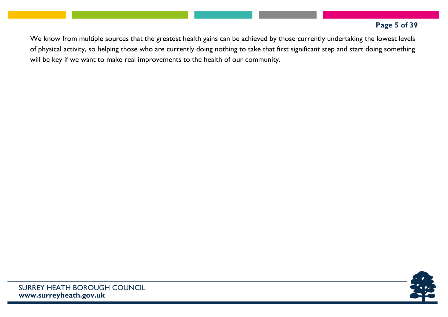#### **Page 5 of 39**

We know from multiple sources that the greatest health gains can be achieved by those currently undertaking the lowest levels of physical activity, so helping those who are currently doing nothing to take that first significant step and start doing something will be key if we want to make real improvements to the health of our community.

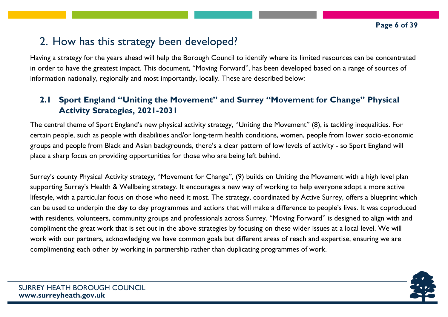# 2. How has this strategy been developed?

Having a strategy for the years ahead will help the Borough Council to identify where its limited resources can be concentrated in order to have the greatest impact. This document, "Moving Forward", has been developed based on a range of sources of information nationally, regionally and most importantly, locally. These are described below:

# **2.1 Sport England "Uniting the Movement" and Surrey "Movement for Change" Physical Activity Strategies, 2021-2031**

The central theme of Sport England's new physical activity strategy, "Uniting the Movement" (8), is tackling inequalities. For certain people, such as people with disabilities and/or long-term health conditions, women, people from lower socio-economic groups and people from Black and Asian backgrounds, there's a clear pattern of low levels of activity - so Sport England will place a sharp focus on providing opportunities for those who are being left behind.

Surrey's county Physical Activity strategy, "Movement for Change", (9) builds on Uniting the Movement with a high level plan supporting Surrey's Health & Wellbeing strategy. It encourages a new way of working to help everyone adopt a more active lifestyle, with a particular focus on those who need it most. The strategy, coordinated by Active Surrey, offers a blueprint which can be used to underpin the day to day programmes and actions that will make a difference to people's lives. It was coproduced with residents, volunteers, community groups and professionals across Surrey. "Moving Forward" is designed to align with and compliment the great work that is set out in the above strategies by focusing on these wider issues at a local level. We will work with our partners, acknowledging we have common goals but different areas of reach and expertise, ensuring we are complimenting each other by working in partnership rather than duplicating programmes of work.

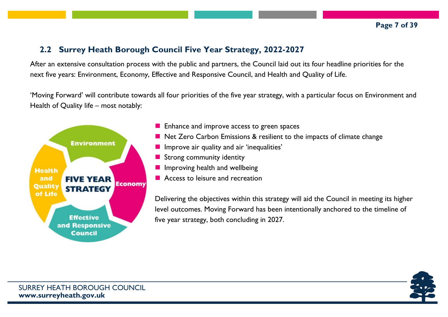## **2.2 Surrey Heath Borough Council Five Year Strategy, 2022-2027**

After an extensive consultation process with the public and partners, the Council laid out its four headline priorities for the next five years: Environment, Economy, Effective and Responsive Council, and Health and Quality of Life.

'Moving Forward' will contribute towards all four priorities of the five year strategy, with a particular focus on Environment and Health of Quality life – most notably:



- **E** Enhance and improve access to green spaces
- Net Zero Carbon Emissions & resilient to the impacts of climate change
- $\blacksquare$  Improve air quality and air 'inequalities'
- Strong community identity
- $\blacksquare$  Improving health and wellbeing
- **Access to leisure and recreation**

Delivering the objectives within this strategy will aid the Council in meeting its higher level outcomes. Moving Forward has been intentionally anchored to the timeline of five year strategy, both concluding in 2027.

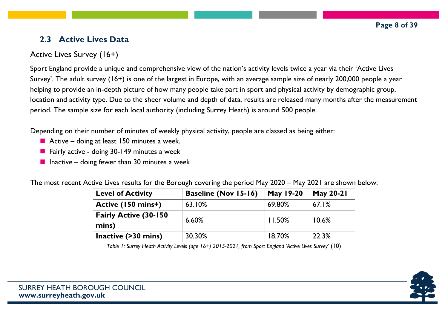# **2.3 Active Lives Data**

# Active Lives Survey (16+)

Sport England provide a unique and comprehensive view of the nation's activity levels twice a year via their 'Active Lives Survey'. The adult survey (16+) is one of the largest in Europe, with an average sample size of nearly 200,000 people a year helping to provide an in-depth picture of how many people take part in sport and physical activity by demographic group, location and activity type. Due to the sheer volume and depth of data, results are released many months after the measurement period. The sample size for each local authority (including Surrey Heath) is around 500 people.

Depending on their number of minutes of weekly physical activity, people are classed as being either:

- Active doing at least 150 minutes a week.
- **Fairly active doing 30-149 minutes a week**
- **Inactive doing fewer than 30 minutes a week**

The most recent Active Lives results for the Borough covering the period May 2020 – May 2021 are shown below:

| <b>Level of Activity</b>               | <b>Baseline (Nov 15-16)</b> | May 19-20 | <b>May 20-21</b> |
|----------------------------------------|-----------------------------|-----------|------------------|
| Active (150 mins+)                     | 63.10%                      | 69.80%    | 67.1%            |
| <b>Fairly Active (30-150)</b><br>mins) | 6.60%                       | $11.50\%$ | 10.6%            |
| Inactive (>30 mins)                    | 30.30%                      | 18.70%    | 22.3%            |

*Table 1: Surrey Heath Activity Levels (age 16+) 2015-2021, from Sport England 'Active Lives Survey'* (10)

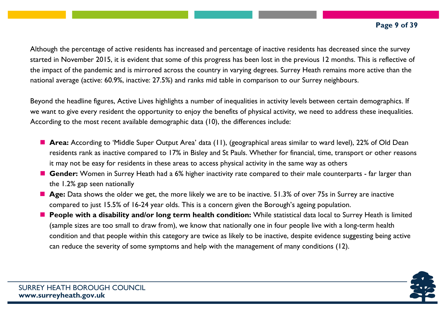Although the percentage of active residents has increased and percentage of inactive residents has decreased since the survey started in November 2015, it is evident that some of this progress has been lost in the previous 12 months. This is reflective of the impact of the pandemic and is mirrored across the country in varying degrees. Surrey Heath remains more active than the national average (active: 60.9%, inactive: 27.5%) and ranks mid table in comparison to our Surrey neighbours.

Beyond the headline figures, Active Lives highlights a number of inequalities in activity levels between certain demographics. If we want to give every resident the opportunity to enjoy the benefits of physical activity, we need to address these inequalities. According to the most recent available demographic data (10), the differences include:

- **Area:** According to 'Middle Super Output Area' data (11), (geographical areas similar to ward level), 22% of Old Dean residents rank as inactive compared to 17% in Bisley and St Pauls. Whether for financial, time, transport or other reasons it may not be easy for residents in these areas to access physical activity in the same way as others
- **Gender:** Women in Surrey Heath had a 6% higher inactivity rate compared to their male counterparts far larger than the 1.2% gap seen nationally
- Age: Data shows the older we get, the more likely we are to be inactive. 51.3% of over 75s in Surrey are inactive compared to just 15.5% of 16-24 year olds. This is a concern given the Borough's ageing population.
- **People with a disability and/or long term health condition:** While statistical data local to Surrey Heath is limited (sample sizes are too small to draw from), we know that nationally one in four people live with a long-term health condition and that people within this category are twice as likely to be inactive, despite evidence suggesting being active can reduce the severity of some symptoms and help with the management of many conditions (12).

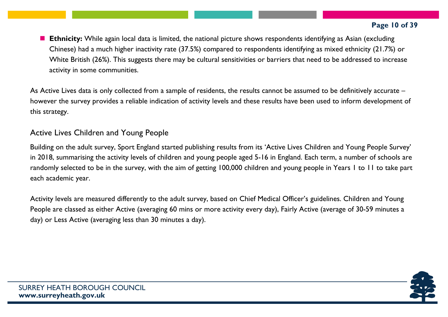#### **Page 10 of 39**

**Ethnicity:** While again local data is limited, the national picture shows respondents identifying as Asian (excluding Chinese) had a much higher inactivity rate (37.5%) compared to respondents identifying as mixed ethnicity (21.7%) or White British (26%). This suggests there may be cultural sensitivities or barriers that need to be addressed to increase activity in some communities.

As Active Lives data is only collected from a sample of residents, the results cannot be assumed to be definitively accurate – however the survey provides a reliable indication of activity levels and these results have been used to inform development of this strategy.

## Active Lives Children and Young People

Building on the adult survey, Sport England started publishing results from its 'Active Lives Children and Young People Survey' in 2018, summarising the activity levels of children and young people aged 5-16 in England. Each term, a number of schools are randomly selected to be in the survey, with the aim of getting 100,000 children and young people in Years 1 to 11 to take part each academic year.

Activity levels are measured differently to the adult survey, based on Chief Medical Officer's guidelines. Children and Young People are classed as either Active (averaging 60 mins or more activity every day), Fairly Active (average of 30-59 minutes a day) or Less Active (averaging less than 30 minutes a day).

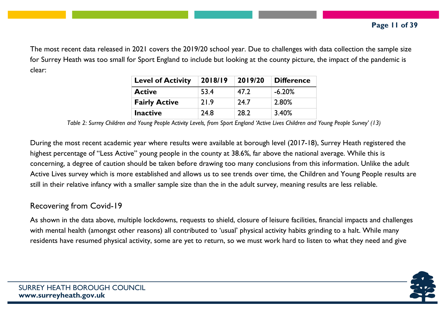The most recent data released in 2021 covers the 2019/20 school year. Due to challenges with data collection the sample size for Surrey Heath was too small for Sport England to include but looking at the county picture, the impact of the pandemic is clear:

| <b>Level of Activity</b> | 2018/19 | 2019/20 | <b>Difference</b> |
|--------------------------|---------|---------|-------------------|
| <b>Active</b>            | 53.4    | 47.2    | $-6.20\%$         |
| <b>Fairly Active</b>     | 21.9    | 24.7    | 2.80%             |
| <b>Inactive</b>          | 24.8    | 28.2    | 3.40%             |

Table 2: Surrey Children and Young People Activity Levels, from Sport England 'Active Lives Children and Young People Survey' (13)

During the most recent academic year where results were available at borough level (2017-18), Surrey Heath registered the highest percentage of "Less Active" young people in the county at 38.6%, far above the national average. While this is concerning, a degree of caution should be taken before drawing too many conclusions from this information. Unlike the adult Active Lives survey which is more established and allows us to see trends over time, the Children and Young People results are still in their relative infancy with a smaller sample size than the in the adult survey, meaning results are less reliable.

#### Recovering from Covid-19

As shown in the data above, multiple lockdowns, requests to shield, closure of leisure facilities, financial impacts and challenges with mental health (amongst other reasons) all contributed to 'usual' physical activity habits grinding to a halt. While many residents have resumed physical activity, some are yet to return, so we must work hard to listen to what they need and give

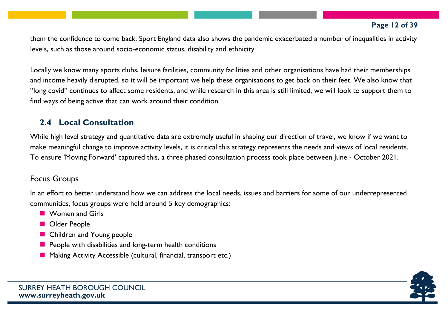#### **Page 12 of 39**

them the confidence to come back. Sport England data also shows the pandemic exacerbated a number of inequalities in activity levels, such as those around socio-economic status, disability and ethnicity.

Locally we know many sports clubs, leisure facilities, community facilities and other organisations have had their memberships and income heavily disrupted, so it will be important we help these organisations to get back on their feet. We also know that "long covid" continues to affect some residents, and while research in this area is still limited, we will look to support them to find ways of being active that can work around their condition.

## **2.4 Local Consultation**

While high level strategy and quantitative data are extremely useful in shaping our direction of travel, we know if we want to make meaningful change to improve activity levels, it is critical this strategy represents the needs and views of local residents. To ensure 'Moving Forward' captured this, a three phased consultation process took place between June - October 2021.

## Focus Groups

In an effort to better understand how we can address the local needs, issues and barriers for some of our underrepresented communities, focus groups were held around 5 key demographics:

- **Nomen and Girls**
- **D** Older People
- Children and Young people
- $\blacksquare$  People with disabilities and long-term health conditions
- Making Activity Accessible (cultural, financial, transport etc.)

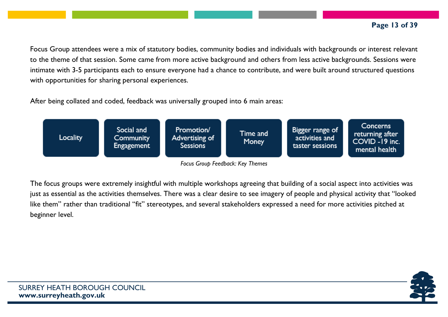#### **Page 13 of 39**

Focus Group attendees were a mix of statutory bodies, community bodies and individuals with backgrounds or interest relevant to the theme of that session. Some came from more active background and others from less active backgrounds. Sessions were intimate with 3-5 participants each to ensure everyone had a chance to contribute, and were built around structured questions with opportunities for sharing personal experiences.

After being collated and coded, feedback was universally grouped into 6 main areas:



*Focus Group Feedback: Key Themes*

The focus groups were extremely insightful with multiple workshops agreeing that building of a social aspect into activities was just as essential as the activities themselves. There was a clear desire to see imagery of people and physical activity that "looked like them" rather than traditional "fit" stereotypes, and several stakeholders expressed a need for more activities pitched at beginner level.

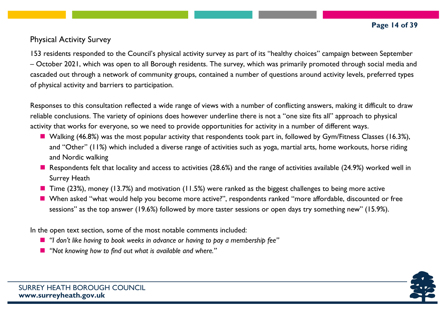## Physical Activity Survey

153 residents responded to the Council's physical activity survey as part of its "healthy choices" campaign between September – October 2021, which was open to all Borough residents. The survey, which was primarily promoted through social media and cascaded out through a network of community groups, contained a number of questions around activity levels, preferred types of physical activity and barriers to participation.

Responses to this consultation reflected a wide range of views with a number of conflicting answers, making it difficult to draw reliable conclusions. The variety of opinions does however underline there is not a "one size fits all" approach to physical activity that works for everyone, so we need to provide opportunities for activity in a number of different ways.

- Walking (46.8%) was the most popular activity that respondents took part in, followed by Gym/Fitness Classes (16.3%), and "Other" (11%) which included a diverse range of activities such as yoga, martial arts, home workouts, horse riding and Nordic walking
- Respondents felt that locality and access to activities (28.6%) and the range of activities available (24.9%) worked well in Surrey Heath
- Time (23%), money (13.7%) and motivation (11.5%) were ranked as the biggest challenges to being more active
- When asked "what would help you become more active?", respondents ranked "more affordable, discounted or free sessions" as the top answer (19.6%) followed by more taster sessions or open days try something new" (15.9%).

In the open text section, some of the most notable comments included:

- *"I don't like having to book weeks in advance or having to pay a membership fee"*
- *"Not knowing how to find out what is available and where."*

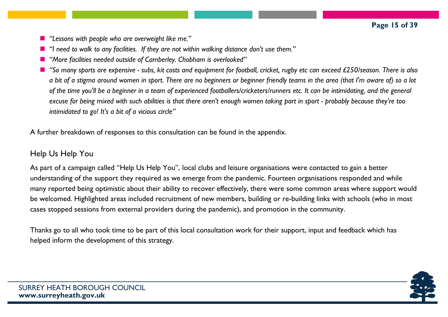- *"Lessons with people who are overweight like me."*
- *"I need to walk to any facilities. If they are not within walking distance don't use them."*
- *"More facilities needed outside of Camberley. Chobham is overlooked"*
- "So many sports are expensive subs, kit costs and equipment for football, cricket, rugby etc can exceed £250/season. There is also a bit of a stigma around women in sport. There are no beginners or beginner friendly teams in the area (that I'm aware of) so a lot of the time you'll be a beginner in a team of experienced footballers/cricketers/runners etc. It can be intimidating, and the general excuse for being mixed with such abilities is that there aren't enough women taking part in sport - probably because they're too *intimidated to go! It's a bit of a vicious circle"*

A further breakdown of responses to this consultation can be found in the appendix.

#### Help Us Help You

As part of a campaign called "Help Us Help You", local clubs and leisure organisations were contacted to gain a better understanding of the support they required as we emerge from the pandemic. Fourteen organisations responded and while many reported being optimistic about their ability to recover effectively, there were some common areas where support would be welcomed. Highlighted areas included recruitment of new members, building or re-building links with schools (who in most cases stopped sessions from external providers during the pandemic), and promotion in the community.

Thanks go to all who took time to be part of this local consultation work for their support, input and feedback which has helped inform the development of this strategy.

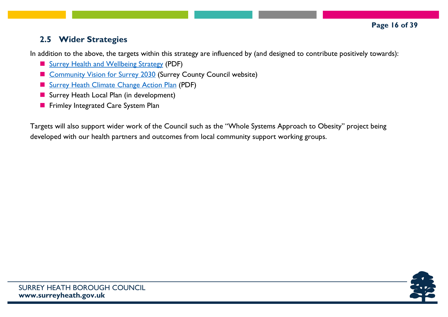## **2.5 Wider Strategies**

In addition to the above, the targets within this strategy are influenced by (and designed to contribute positively towards):

- Surrey Health and [Wellbeing](https://www.healthysurrey.org.uk/__data/assets/pdf_file/0007/197530/Surrey-Health-and-Wellbeing-Strategy-FINAL-19.11.20.pdf) Strategy (PDF)
- [Community](https://www.surreycc.gov.uk/council-and-democracy/finance-and-performance/our-performance/our-organisation-strategy/community-vision-for-surrey-in-2030) Vision for Surrey 2030 (Surrey County Council website)
- Surrey Heath [Climate](https://www.surreyheath.gov.uk/sites/default/files/images/Planning/ClimateChange/Surrey%20Heath%20Climate%20Change%20Action%20Plan%20March%202021.pdf) Change Action Plan (PDF)
- Surrey Heath Local Plan (in development)
- Frimley Integrated Care System Plan

Targets will also support wider work of the Council such as the "Whole Systems Approach to Obesity" project being developed with our health partners and outcomes from local community support working groups.

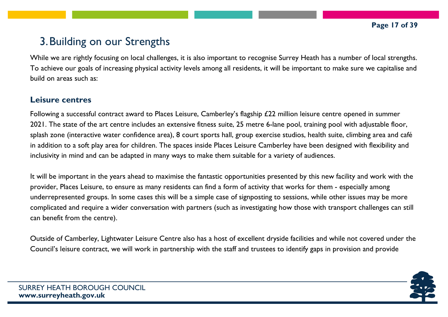# 3.Building on our Strengths

While we are rightly focusing on local challenges, it is also important to recognise Surrey Heath has a number of local strengths. To achieve our goals of increasing physical activity levels among all residents, it will be important to make sure we capitalise and build on areas such as:

#### **Leisure centres**

Following a successful contract award to Places Leisure, Camberley's flagship £22 million leisure centre opened in summer 2021. The state of the art centre includes an extensive fitness suite, 25 metre 6-lane pool, training pool with adjustable floor, splash zone (interactive water confidence area), 8 court sports hall, group exercise studios, health suite, climbing area and café in addition to a soft play area for children. The spaces inside Places Leisure Camberley have been designed with flexibility and inclusivity in mind and can be adapted in many ways to make them suitable for a variety of audiences.

It will be important in the years ahead to maximise the fantastic opportunities presented by this new facility and work with the provider, Places Leisure, to ensure as many residents can find a form of activity that works for them - especially among underrepresented groups. In some cases this will be a simple case of signposting to sessions, while other issues may be more complicated and require a wider conversation with partners (such as investigating how those with transport challenges can still can benefit from the centre).

Outside of Camberley, Lightwater Leisure Centre also has a host of excellent dryside facilities and while not covered under the Council's leisure contract, we will work in partnership with the staff and trustees to identify gaps in provision and provide

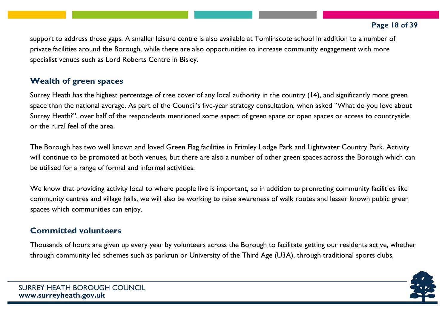support to address those gaps. A smaller leisure centre is also available at Tomlinscote school in addition to a number of private facilities around the Borough, while there are also opportunities to increase community engagement with more specialist venues such as Lord Roberts Centre in Bisley.

# **Wealth of green spaces**

Surrey Heath has the highest percentage of tree cover of any local authority in the country (14), and significantly more green space than the national average. As part of the Council's five-year strategy consultation, when asked "What do you love about Surrey Heath?", over half of the respondents mentioned some aspect of green space or open spaces or access to countryside or the rural feel of the area.

The Borough has two well known and loved Green Flag facilities in Frimley Lodge Park and Lightwater Country Park. Activity will continue to be promoted at both venues, but there are also a number of other green spaces across the Borough which can be utilised for a range of formal and informal activities.

We know that providing activity local to where people live is important, so in addition to promoting community facilities like community centres and village halls, we will also be working to raise awareness of walk routes and lesser known public green spaces which communities can enjoy.

# **Committed volunteers**

Thousands of hours are given up every year by volunteers across the Borough to facilitate getting our residents active, whether through community led schemes such as parkrun or University of the Third Age (U3A), through traditional sports clubs,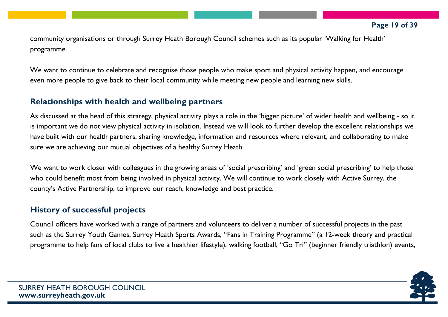community organisations or through Surrey Heath Borough Council schemes such as its popular 'Walking for Health' programme.

We want to continue to celebrate and recognise those people who make sport and physical activity happen, and encourage even more people to give back to their local community while meeting new people and learning new skills.

#### **Relationships with health and wellbeing partners**

As discussed at the head of this strategy, physical activity plays a role in the 'bigger picture' of wider health and wellbeing - so it is important we do not view physical activity in isolation. Instead we will look to further develop the excellent relationships we have built with our health partners, sharing knowledge, information and resources where relevant, and collaborating to make sure we are achieving our mutual objectives of a healthy Surrey Heath.

We want to work closer with colleagues in the growing areas of 'social prescribing' and 'green social prescribing' to help those who could benefit most from being involved in physical activity. We will continue to work closely with Active Surrey, the county's Active Partnership, to improve our reach, knowledge and best practice.

## **History of successful projects**

Council officers have worked with a range of partners and volunteers to deliver a number of successful projects in the past such as the Surrey Youth Games, Surrey Heath Sports Awards, "Fans in Training Programme" (a 12-week theory and practical programme to help fans of local clubs to live a healthier lifestyle), walking football, "Go Tri" (beginner friendly triathlon) events,

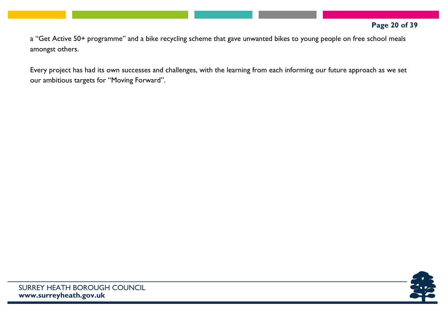a "Get Active 50+ programme" and a bike recycling scheme that gave unwanted bikes to young people on free school meals amongst others.

Every project has had its own successes and challenges, with the learning from each informing our future approach as we set our ambitious targets for "Moving Forward".

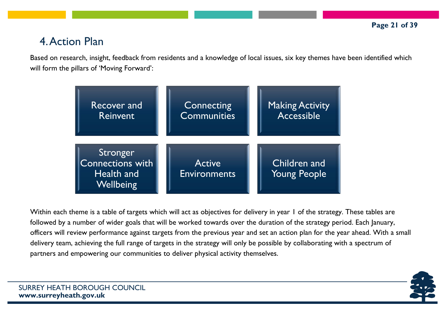# 4.Action Plan

Based on research, insight, feedback from residents and a knowledge of local issues, six key themes have been identified which will form the pillars of 'Moving Forward':



Within each theme is a table of targets which will act as objectives for delivery in year 1 of the strategy. These tables are followed by a number of wider goals that will be worked towards over the duration of the strategy period. Each January, officers will review performance against targets from the previous year and set an action plan for the year ahead. With a small delivery team, achieving the full range of targets in the strategy will only be possible by collaborating with a spectrum of partners and empowering our communities to deliver physical activity themselves.

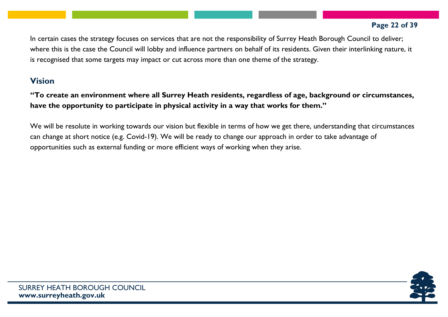In certain cases the strategy focuses on services that are not the responsibility of Surrey Heath Borough Council to deliver; where this is the case the Council will lobby and influence partners on behalf of its residents. Given their interlinking nature, it is recognised that some targets may impact or cut across more than one theme of the strategy.

#### **Vision**

**"To create an environment where all Surrey Heath residents, regardless of age, background or circumstances, have the opportunity to participate in physical activity in a way that works for them."**

We will be resolute in working towards our vision but flexible in terms of how we get there, understanding that circumstances can change at short notice (e.g. Covid-19). We will be ready to change our approach in order to take advantage of opportunities such as external funding or more efficient ways of working when they arise.

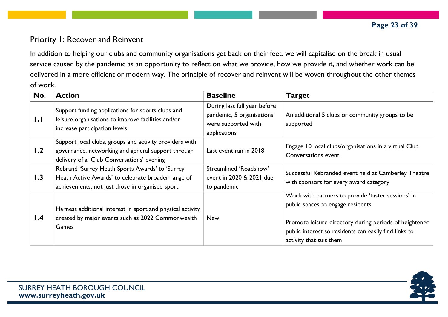## Priority 1: Recover and Reinvent

In addition to helping our clubs and community organisations get back on their feet, we will capitalise on the break in usual service caused by the pandemic as an opportunity to reflect on what we provide, how we provide it, and whether work can be delivered in a more efficient or modern way. The principle of recover and reinvent will be woven throughout the other themes of work.

| No. | <b>Action</b>                                                                                                                                               | <b>Baseline</b>                                                                                  | <b>Target</b>                                                                                                                                                                                                                         |
|-----|-------------------------------------------------------------------------------------------------------------------------------------------------------------|--------------------------------------------------------------------------------------------------|---------------------------------------------------------------------------------------------------------------------------------------------------------------------------------------------------------------------------------------|
| 1.1 | Support funding applications for sports clubs and<br>leisure organisations to improve facilities and/or<br>increase participation levels                    | During last full year before<br>pandemic, 5 organisations<br>were supported with<br>applications | An additional 5 clubs or community groups to be<br>supported                                                                                                                                                                          |
| 1.2 | Support local clubs, groups and activity providers with<br>governance, networking and general support through<br>delivery of a 'Club Conversations' evening | Last event ran in 2018                                                                           | Engage 10 local clubs/organisations in a virtual Club<br>Conversations event                                                                                                                                                          |
| 1.3 | Rebrand 'Surrey Heath Sports Awards' to 'Surrey<br>Heath Active Awards' to celebrate broader range of<br>achievements, not just those in organised sport.   | Streamlined 'Roadshow'<br>event in 2020 & 2021 due<br>to pandemic                                | Successful Rebranded event held at Camberley Theatre<br>with sponsors for every award category                                                                                                                                        |
| 1.4 | Harness additional interest in sport and physical activity<br>created by major events such as 2022 Commonwealth<br>Games                                    | <b>New</b>                                                                                       | Work with partners to provide 'taster sessions' in<br>public spaces to engage residents<br>Promote leisure directory during periods of heightened<br>public interest so residents can easily find links to<br>activity that suit them |

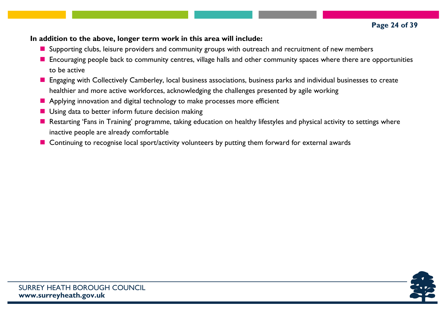#### **In addition to the above, longer term work in this area will include:**

- **E** Supporting clubs, leisure providers and community groups with outreach and recruitment of new members
- **E** Encouraging people back to community centres, village halls and other community spaces where there are opportunities to be active
- **E** Engaging with Collectively Camberley, local business associations, business parks and individual businesses to create healthier and more active workforces, acknowledging the challenges presented by agile working
- **Applying innovation and digital technology to make processes more efficient**
- **Using data to better inform future decision making**
- Restarting 'Fans in Training' programme, taking education on healthy lifestyles and physical activity to settings where inactive people are already comfortable
- Continuing to recognise local sport/activity volunteers by putting them forward for external awards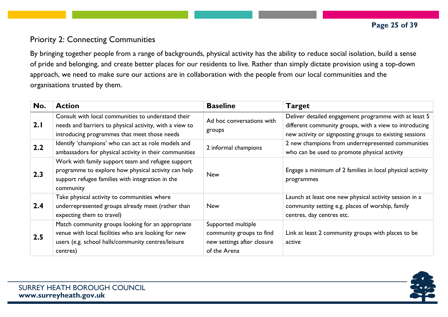# Priority 2: Connecting Communities

By bringing together people from a range of backgrounds, physical activity has the ability to reduce social isolation, build a sense of pride and belonging, and create better places for our residents to live. Rather than simply dictate provision using a top-down approach, we need to make sure our actions are in collaboration with the people from our local communities and the organisations trusted by them.

| No. | <b>Action</b>                                                                                                                                                              | <b>Baseline</b>                                                                              | <b>Target</b>                                                                                                                                                              |
|-----|----------------------------------------------------------------------------------------------------------------------------------------------------------------------------|----------------------------------------------------------------------------------------------|----------------------------------------------------------------------------------------------------------------------------------------------------------------------------|
| 2.1 | Consult with local communities to understand their<br>needs and barriers to physical activity, with a view to<br>introducing programmes that meet those needs              | Ad hoc conversations with<br>groups                                                          | Deliver detailed engagement programme with at least 5<br>different community groups, with a view to introducing<br>new activity or signposting groups to existing sessions |
| 2.2 | Identify 'champions' who can act as role models and<br>ambassadors for physical activity in their communities                                                              | 2 informal champions                                                                         | 2 new champions from underrepresented communities<br>who can be used to promote physical activity                                                                          |
| 2.3 | Work with family support team and refugee support<br>programme to explore how physical activity can help<br>support refugee families with integration in the<br>community  | <b>New</b>                                                                                   | Engage a minimum of 2 families in local physical activity<br>programmes                                                                                                    |
| 2.4 | Take physical activity to communities where<br>underrepresented groups already meet (rather than<br>expecting them to travel)                                              | <b>New</b>                                                                                   | Launch at least one new physical activity session in a<br>community setting e.g. places of worship, family<br>centres, day centres etc.                                    |
| 2.5 | Match community groups looking for an appropriate<br>venue with local facilities who are looking for new<br>users (e.g. school halls/community centres/leisure<br>centres) | Supported multiple<br>community groups to find<br>new settings after closure<br>of the Arena | Link at least 2 community groups with places to be<br>active                                                                                                               |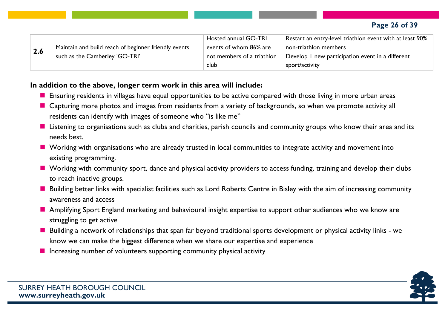| 2.6 |                                                      | Hosted annual GO-TRI       | Restart an entry-level triathlon event with at least 90% |
|-----|------------------------------------------------------|----------------------------|----------------------------------------------------------|
|     | Maintain and build reach of beginner friendly events | events of whom 86% are     | non-triathlon members                                    |
|     | such as the Camberley 'GO-TRI'                       | not members of a triathlon | Develop I new participation event in a different         |
|     |                                                      | club                       | sport/activity                                           |

#### **In addition to the above, longer term work in this area will include:**

- **E** Ensuring residents in villages have equal opportunities to be active compared with those living in more urban areas
- Capturing more photos and images from residents from a variety of backgrounds, so when we promote activity all residents can identify with images of someone who "is like me"
- **Listening to organisations such as clubs and charities, parish councils and community groups who know their area and its** needs best.
- **E** Working with organisations who are already trusted in local communities to integrate activity and movement into existing programming.
- Working with community sport, dance and physical activity providers to access funding, training and develop their clubs to reach inactive groups.
- Building better links with specialist facilities such as Lord Roberts Centre in Bisley with the aim of increasing community awareness and access
- **Amplifying Sport England marketing and behavioural insight expertise to support other audiences who we know are** struggling to get active
- Building a network of relationships that span far beyond traditional sports development or physical activity links we know we can make the biggest difference when we share our expertise and experience
- $\blacksquare$  Increasing number of volunteers supporting community physical activity

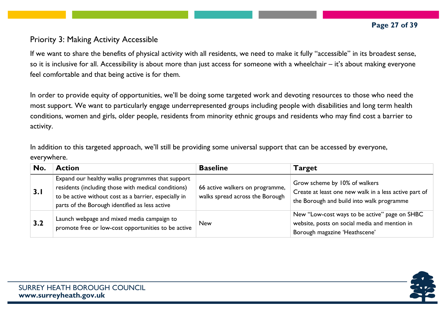#### Priority 3: Making Activity Accessible

If we want to share the benefits of physical activity with all residents, we need to make it fully "accessible" in its broadest sense, so it is inclusive for all. Accessibility is about more than just access for someone with a wheelchair – it's about making everyone feel comfortable and that being active is for them.

In order to provide equity of opportunities, we'll be doing some targeted work and devoting resources to those who need the most support. We want to particularly engage underrepresented groups including people with disabilities and long term health conditions, women and girls, older people, residents from minority ethnic groups and residents who may find cost a barrier to activity.

In addition to this targeted approach, we'll still be providing some universal support that can be accessed by everyone, everywhere.

| No. | <b>Action</b>                                                                                                                                                                                                      | <b>Baseline</b>                                                    | <b>Target</b>                                                                                                                       |
|-----|--------------------------------------------------------------------------------------------------------------------------------------------------------------------------------------------------------------------|--------------------------------------------------------------------|-------------------------------------------------------------------------------------------------------------------------------------|
| 3.1 | Expand our healthy walks programmes that support<br>residents (including those with medical conditions)<br>to be active without cost as a barrier, especially in<br>parts of the Borough identified as less active | 66 active walkers on programme,<br>walks spread across the Borough | Grow scheme by 10% of walkers<br>Create at least one new walk in a less active part of<br>the Borough and build into walk programme |
| 3.2 | Launch webpage and mixed media campaign to<br>promote free or low-cost opportunities to be active                                                                                                                  | <b>New</b>                                                         | New "Low-cost ways to be active" page on SHBC<br>website, posts on social media and mention in<br>Borough magazine 'Heathscene'     |

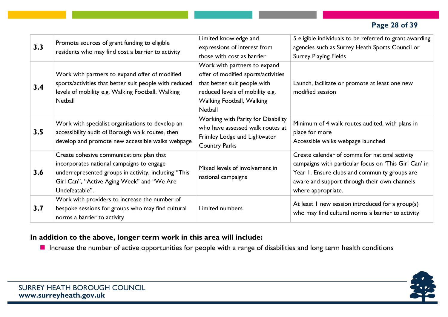| 3.3 | Promote sources of grant funding to eligible<br>residents who may find cost a barrier to activity                                                                                                             | Limited knowledge and<br>expressions of interest from<br>those with cost as barrier                                                                                                   | 5 eligible individuals to be referred to grant awarding<br>agencies such as Surrey Heath Sports Council or<br><b>Surrey Playing Fields</b>                                                                                     |
|-----|---------------------------------------------------------------------------------------------------------------------------------------------------------------------------------------------------------------|---------------------------------------------------------------------------------------------------------------------------------------------------------------------------------------|--------------------------------------------------------------------------------------------------------------------------------------------------------------------------------------------------------------------------------|
| 3.4 | Work with partners to expand offer of modified<br>sports/activities that better suit people with reduced<br>levels of mobility e.g. Walking Football, Walking<br><b>Netball</b>                               | Work with partners to expand<br>offer of modified sports/activities<br>that better suit people with<br>reduced levels of mobility e.g.<br><b>Walking Football, Walking</b><br>Netball | Launch, facilitate or promote at least one new<br>modified session                                                                                                                                                             |
| 3.5 | Work with specialist organisations to develop an<br>accessibility audit of Borough walk routes, then<br>develop and promote new accessible walks webpage                                                      | Working with Parity for Disability<br>who have assessed walk routes at<br>Frimley Lodge and Lightwater<br><b>Country Parks</b>                                                        | Minimum of 4 walk routes audited, with plans in<br>place for more<br>Accessible walks webpage launched                                                                                                                         |
| 3.6 | Create cohesive communications plan that<br>incorporates national campaigns to engage<br>underrepresented groups in activity, including "This<br>Girl Can", "Active Aging Week" and "We Are<br>Undefeatable". | Mixed levels of involvement in<br>national campaigns                                                                                                                                  | Create calendar of comms for national activity<br>campaigns with particular focus on 'This Girl Can' in<br>Year 1. Ensure clubs and community groups are<br>aware and support through their own channels<br>where appropriate. |
| 3.7 | Work with providers to increase the number of<br>bespoke sessions for groups who may find cultural<br>norms a barrier to activity                                                                             | Limited numbers                                                                                                                                                                       | At least I new session introduced for a group(s)<br>who may find cultural norms a barrier to activity                                                                                                                          |

#### **In addition to the above, longer term work in this area will include:**

**I** Increase the number of active opportunities for people with a range of disabilities and long term health conditions

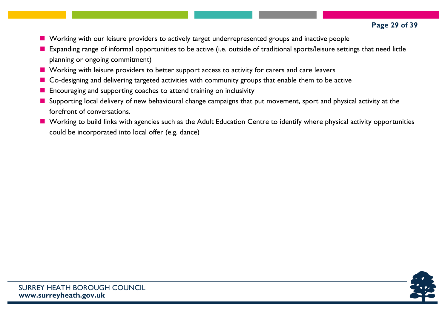- Working with our leisure providers to actively target underrepresented groups and inactive people
- **E** Expanding range of informal opportunities to be active (i.e. outside of traditional sports/leisure settings that need little planning or ongoing commitment)
- **Norking with leisure providers to better support access to activity for carers and care leavers**
- Co-designing and delivering targeted activities with community groups that enable them to be active
- **Encouraging and supporting coaches to attend training on inclusivity**
- **Supporting local delivery of new behavioural change campaigns that put movement, sport and physical activity at the** forefront of conversations.
- **Norking to build links with agencies such as the Adult Education Centre to identify where physical activity opportunities** could be incorporated into local offer (e.g. dance)

**Page 29 of 39**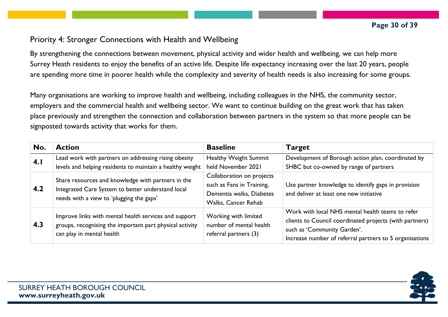#### Priority 4: Stronger Connections with Health and Wellbeing

By strengthening the connections between movement, physical activity and wider health and wellbeing, we can help more Surrey Heath residents to enjoy the benefits of an active life. Despite life expectancy increasing over the last 20 years, people are spending more time in poorer health while the complexity and severity of health needs is also increasing for some groups.

Many organisations are working to improve health and wellbeing, including colleagues in the NHS, the community sector, employers and the commercial health and wellbeing sector. We want to continue building on the great work that has taken place previously and strengthen the connection and collaboration between partners in the system so that more people can be signposted towards activity that works for them.

| No. | <b>Action</b>                                                                                                                                       | <b>Baseline</b>                                                                                           | <b>Target</b>                                                                                                                                                                                         |
|-----|-----------------------------------------------------------------------------------------------------------------------------------------------------|-----------------------------------------------------------------------------------------------------------|-------------------------------------------------------------------------------------------------------------------------------------------------------------------------------------------------------|
| 4.1 | Lead work with partners on addressing rising obesity<br>levels and helping residents to maintain a healthy weight                                   | <b>Healthy Weight Summit</b><br>held November 2021                                                        | Development of Borough action plan, coordinated by<br>SHBC but co-owned by range of partners                                                                                                          |
| 4.2 | Share resources and knowledge with partners in the<br>Integrated Care System to better understand local<br>needs with a view to 'plugging the gaps' | Collaboration on projects<br>such as Fans in Training,<br>Dementia walks, Diabetes<br>Walks, Cancer Rehab | Use partner knowledge to identify gaps in provision<br>and deliver at least one new initiative                                                                                                        |
| 4.3 | Improve links with mental health services and support<br>groups, recognising the important part physical activity<br>can play in mental health      | Working with limited<br>number of mental health<br>referral partners (3)                                  | Work with local NHS mental health teams to refer<br>clients to Council coordinated projects (with partners)<br>such as 'Community Garden'.<br>Increase number of referral partners to 5 organisations |

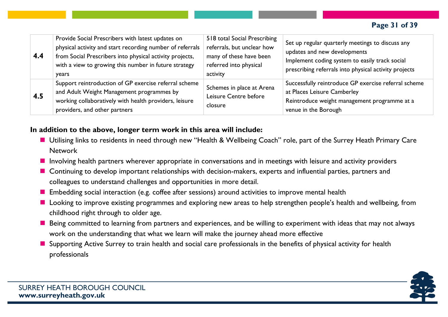| 4.4 | Provide Social Prescribers with latest updates on<br>physical activity and start recording number of referrals<br>from Social Prescribers into physical activity projects,<br>with a view to growing this number in future strategy<br>years | 518 total Social Prescribing<br>referrals, but unclear how<br>many of these have been<br>referred into physical<br>activity | Set up regular quarterly meetings to discuss any<br>updates and new developments<br>Implement coding system to easily track social<br>prescribing referrals into physical activity projects |
|-----|----------------------------------------------------------------------------------------------------------------------------------------------------------------------------------------------------------------------------------------------|-----------------------------------------------------------------------------------------------------------------------------|---------------------------------------------------------------------------------------------------------------------------------------------------------------------------------------------|
| 4.5 | Support reintroduction of GP exercise referral scheme<br>and Adult Weight Management programmes by<br>working collaboratively with health providers, leisure<br>providers, and other partners                                                | Schemes in place at Arena<br>Leisure Centre before<br>closure                                                               | Successfully reintroduce GP exercise referral scheme<br>at Places Leisure Camberley<br>Reintroduce weight management programme at a<br>venue in the Borough                                 |

#### **In addition to the above, longer term work in this area will include:**

- Utilising links to residents in need through new "Health & Wellbeing Coach" role, part of the Surrey Heath Primary Care Network
- **I** Involving health partners wherever appropriate in conversations and in meetings with leisure and activity providers
- **E** Continuing to develop important relationships with decision-makers, experts and influential parties, partners and colleagues to understand challenges and opportunities in more detail.
- **Embedding social interaction (e.g. coffee after sessions) around activities to improve mental health**
- **Looking to improve existing programmes and exploring new areas to help strengthen people's health and wellbeing, from** childhood right through to older age.
- Being committed to learning from partners and experiences, and be willing to experiment with ideas that may not always work on the understanding that what we learn will make the journey ahead more effective
- Supporting Active Surrey to train health and social care professionals in the benefits of physical activity for health professionals

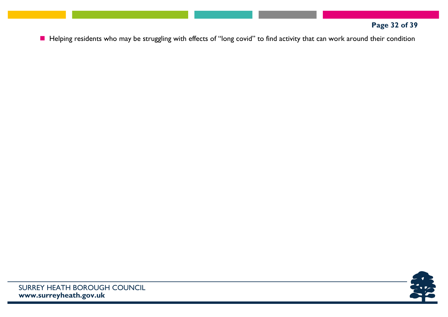# **Page 32 of 39**

Helping residents who may be struggling with effects of "long covid" to find activity that can work around their condition

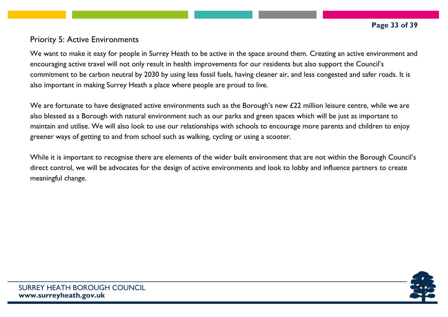#### Priority 5: Active Environments

We want to make it easy for people in Surrey Heath to be active in the space around them. Creating an active environment and encouraging active travel will not only result in health improvements for our residents but also support the Council's commitment to be carbon neutral by 2030 by using less fossil fuels, having cleaner air, and less congested and safer roads. It is also important in making Surrey Heath a place where people are proud to live.

We are fortunate to have designated active environments such as the Borough's new £22 million leisure centre, while we are also blessed as a Borough with natural environment such as our parks and green spaces which will be just as important to maintain and utilise. We will also look to use our relationships with schools to encourage more parents and children to enjoy greener ways of getting to and from school such as walking, cycling or using a scooter.

While it is important to recognise there are elements of the wider built environment that are not within the Borough Council's direct control, we will be advocates for the design of active environments and look to lobby and influence partners to create meaningful change.

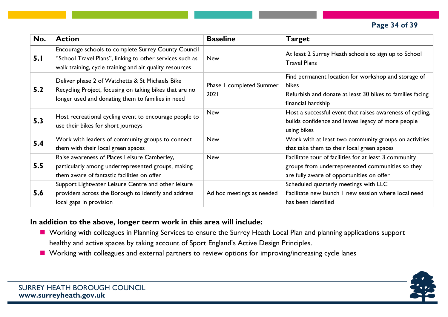#### **Page 34 of 39**

| No. | <b>Action</b>                                                                                                                                                              | <b>Baseline</b>                     | <b>Target</b>                                                                                                                                           |
|-----|----------------------------------------------------------------------------------------------------------------------------------------------------------------------------|-------------------------------------|---------------------------------------------------------------------------------------------------------------------------------------------------------|
| 5.1 | Encourage schools to complete Surrey County Council<br>"School Travel Plans", linking to other services such as<br>walk training, cycle training and air quality resources | <b>New</b>                          | At least 2 Surrey Heath schools to sign up to School<br><b>Travel Plans</b>                                                                             |
| 5.2 | Deliver phase 2 of Watchetts & St Michaels Bike<br>Recycling Project, focusing on taking bikes that are no<br>longer used and donating them to families in need            | completed Summer<br>Phase I<br>2021 | Find permanent location for workshop and storage of<br><b>bikes</b><br>Refurbish and donate at least 30 bikes to families facing<br>financial hardship  |
| 5.3 | Host recreational cycling event to encourage people to<br>use their bikes for short journeys                                                                               | <b>New</b>                          | Host a successful event that raises awareness of cycling,<br>builds confidence and leaves legacy of more people<br>using bikes                          |
| 5.4 | Work with leaders of community groups to connect<br>them with their local green spaces                                                                                     | <b>New</b>                          | Work with at least two community groups on activities<br>that take them to their local green spaces                                                     |
| 5.5 | Raise awareness of Places Leisure Camberley,<br>particularly among underrepresented groups, making<br>them aware of fantastic facilities on offer                          | <b>New</b>                          | Facilitate tour of facilities for at least 3 community<br>groups from underrepresented communities so they<br>are fully aware of opportunities on offer |
| 5.6 | Support Lightwater Leisure Centre and other leisure<br>providers across the Borough to identify and address<br>local gaps in provision                                     | Ad hoc meetings as needed           | Scheduled quarterly meetings with LLC<br>Facilitate new launch I new session where local need<br>has been identified                                    |

#### **In addition to the above, longer term work in this area will include:**

- **Norking with colleagues in Planning Services to ensure the Surrey Heath Local Plan and planning applications support** healthy and active spaces by taking account of Sport England's Active Design Principles.
- Working with colleagues and external partners to review options for improving/increasing cycle lanes

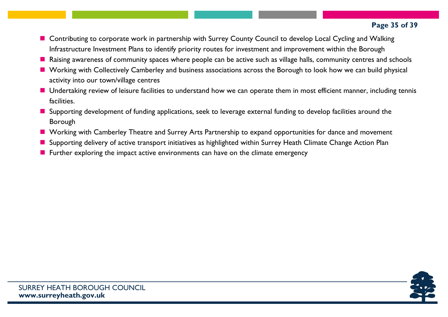- Contributing to corporate work in partnership with Surrey County Council to develop Local Cycling and Walking Infrastructure Investment Plans to identify priority routes for investment and improvement within the Borough
- Raising awareness of community spaces where people can be active such as village halls, community centres and schools
- Working with Collectively Camberley and business associations across the Borough to look how we can build physical activity into our town/village centres
- **Undertaking review of leisure facilities to understand how we can operate them in most efficient manner, including tennis** facilities.
- **Supporting development of funding applications, seek to leverage external funding to develop facilities around the** Borough
- Working with Camberley Theatre and Surrey Arts Partnership to expand opportunities for dance and movement
- Supporting delivery of active transport initiatives as highlighted within Surrey Heath Climate Change Action Plan
- $\blacksquare$  Further exploring the impact active environments can have on the climate emergency

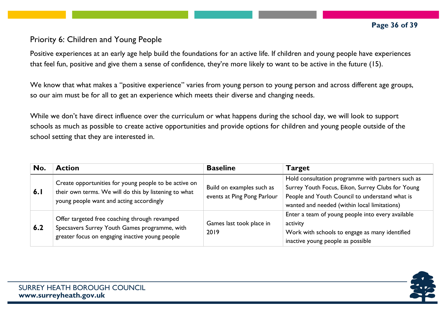#### Priority 6: Children and Young People

Positive experiences at an early age help build the foundations for an active life. If children and young people have experiences that feel fun, positive and give them a sense of confidence, they're more likely to want to be active in the future (15).

We know that what makes a "positive experience" varies from young person to young person and across different age groups, so our aim must be for all to get an experience which meets their diverse and changing needs.

While we don't have direct influence over the curriculum or what happens during the school day, we will look to support schools as much as possible to create active opportunities and provide options for children and young people outside of the school setting that they are interested in.

| No. | <b>Action</b>                                                                                                                                              | <b>Baseline</b>                                          | <b>Target</b>                                                                                                                                                                                            |
|-----|------------------------------------------------------------------------------------------------------------------------------------------------------------|----------------------------------------------------------|----------------------------------------------------------------------------------------------------------------------------------------------------------------------------------------------------------|
| 6.1 | Create opportunities for young people to be active on<br>their own terms. We will do this by listening to what<br>young people want and acting accordingly | Build on examples such as<br>events at Ping Pong Parlour | Hold consultation programme with partners such as<br>Surrey Youth Focus, Eikon, Surrey Clubs for Young<br>People and Youth Council to understand what is<br>wanted and needed (within local limitations) |
| 6.2 | Offer targeted free coaching through revamped<br>Specsavers Surrey Youth Games programme, with<br>greater focus on engaging inactive young people          | Games last took place in<br>2019                         | Enter a team of young people into every available<br>activity<br>Work with schools to engage as many identified<br>inactive young people as possible                                                     |

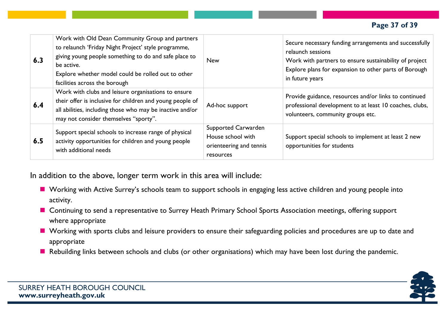#### **Page 37 of 39**

| 6.3 | Work with Old Dean Community Group and partners<br>to relaunch 'Friday Night Project' style programme,<br>giving young people something to do and safe place to<br>be active.<br>Explore whether model could be rolled out to other<br>facilities across the borough | <b>New</b>                                                                       | Secure necessary funding arrangements and successfully<br>relaunch sessions<br>Work with partners to ensure sustainability of project<br>Explore plans for expansion to other parts of Borough<br>in future years |
|-----|----------------------------------------------------------------------------------------------------------------------------------------------------------------------------------------------------------------------------------------------------------------------|----------------------------------------------------------------------------------|-------------------------------------------------------------------------------------------------------------------------------------------------------------------------------------------------------------------|
| 6.4 | Work with clubs and leisure organisations to ensure<br>their offer is inclusive for children and young people of<br>all abilities, including those who may be inactive and/or<br>may not consider themselves "sporty".                                               | Ad-hoc support                                                                   | Provide guidance, resources and/or links to continued<br>professional development to at least 10 coaches, clubs,<br>volunteers, community groups etc.                                                             |
| 6.5 | Support special schools to increase range of physical<br>activity opportunities for children and young people<br>with additional needs                                                                                                                               | Supported Carwarden<br>House school with<br>orienteering and tennis<br>resources | Support special schools to implement at least 2 new<br>opportunities for students                                                                                                                                 |

In addition to the above, longer term work in this area will include:

- Working with Active Surrey's schools team to support schools in engaging less active children and young people into activity.
- Continuing to send a representative to Surrey Heath Primary School Sports Association meetings, offering support where appropriate
- Working with sports clubs and leisure providers to ensure their safeguarding policies and procedures are up to date and appropriate
- Rebuilding links between schools and clubs (or other organisations) which may have been lost during the pandemic.

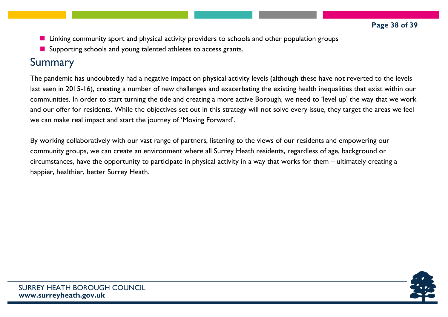- **Linking community sport and physical activity providers to schools and other population groups**
- **E** Supporting schools and young talented athletes to access grants.

# Summary

The pandemic has undoubtedly had a negative impact on physical activity levels (although these have not reverted to the levels last seen in 2015-16), creating a number of new challenges and exacerbating the existing health inequalities that exist within our communities. In order to start turning the tide and creating a more active Borough, we need to 'level up' the way that we work and our offer for residents. While the objectives set out in this strategy will not solve every issue, they target the areas we feel we can make real impact and start the journey of 'Moving Forward'.

By working collaboratively with our vast range of partners, listening to the views of our residents and empowering our community groups, we can create an environment where all Surrey Heath residents, regardless of age, background or circumstances, have the opportunity to participate in physical activity in a way that works for them – ultimately creating a happier, healthier, better Surrey Heath.